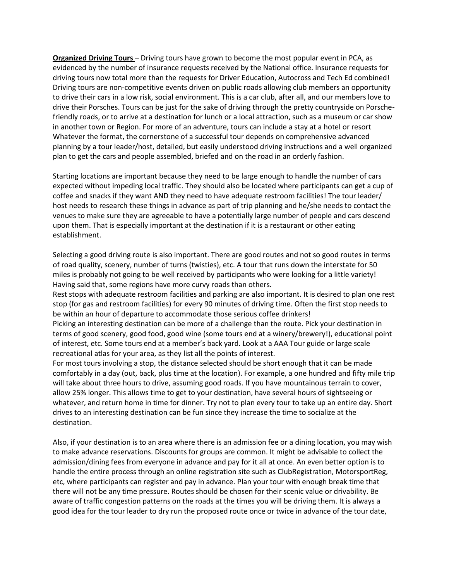**Organized Driving Tours** – Driving tours have grown to become the most popular event in PCA, as evidenced by the number of insurance requests received by the National office. Insurance requests for driving tours now total more than the requests for Driver Education, Autocross and Tech Ed combined! Driving tours are non-competitive events driven on public roads allowing club members an opportunity to drive their cars in a low risk, social environment. This is a car club, after all, and our members love to drive their Porsches. Tours can be just for the sake of driving through the pretty countryside on Porschefriendly roads, or to arrive at a destination for lunch or a local attraction, such as a museum or car show in another town or Region. For more of an adventure, tours can include a stay at a hotel or resort Whatever the format, the cornerstone of a successful tour depends on comprehensive advanced planning by a tour leader/host, detailed, but easily understood driving instructions and a well organized plan to get the cars and people assembled, briefed and on the road in an orderly fashion.

Starting locations are important because they need to be large enough to handle the number of cars expected without impeding local traffic. They should also be located where participants can get a cup of coffee and snacks if they want AND they need to have adequate restroom facilities! The tour leader/ host needs to research these things in advance as part of trip planning and he/she needs to contact the venues to make sure they are agreeable to have a potentially large number of people and cars descend upon them. That is especially important at the destination if it is a restaurant or other eating establishment.

Selecting a good driving route is also important. There are good routes and not so good routes in terms of road quality, scenery, number of turns (twisties), etc. A tour that runs down the interstate for 50 miles is probably not going to be well received by participants who were looking for a little variety! Having said that, some regions have more curvy roads than others.

Rest stops with adequate restroom facilities and parking are also important. It is desired to plan one rest stop (for gas and restroom facilities) for every 90 minutes of driving time. Often the first stop needs to be within an hour of departure to accommodate those serious coffee drinkers!

Picking an interesting destination can be more of a challenge than the route. Pick your destination in terms of good scenery, good food, good wine (some tours end at a winery/brewery!), educational point of interest, etc. Some tours end at a member's back yard. Look at a AAA Tour guide or large scale recreational atlas for your area, as they list all the points of interest.

For most tours involving a stop, the distance selected should be short enough that it can be made comfortably in a day (out, back, plus time at the location). For example, a one hundred and fifty mile trip will take about three hours to drive, assuming good roads. If you have mountainous terrain to cover, allow 25% longer. This allows time to get to your destination, have several hours of sightseeing or whatever, and return home in time for dinner. Try not to plan every tour to take up an entire day. Short drives to an interesting destination can be fun since they increase the time to socialize at the destination.

Also, if your destination is to an area where there is an admission fee or a dining location, you may wish to make advance reservations. Discounts for groups are common. It might be advisable to collect the admission/dining fees from everyone in advance and pay for it all at once. An even better option is to handle the entire process through an online registration site such as ClubRegistration, MotorsportReg, etc, where participants can register and pay in advance. Plan your tour with enough break time that there will not be any time pressure. Routes should be chosen for their scenic value or drivability. Be aware of traffic congestion patterns on the roads at the times you will be driving them. It is always a good idea for the tour leader to dry run the proposed route once or twice in advance of the tour date,